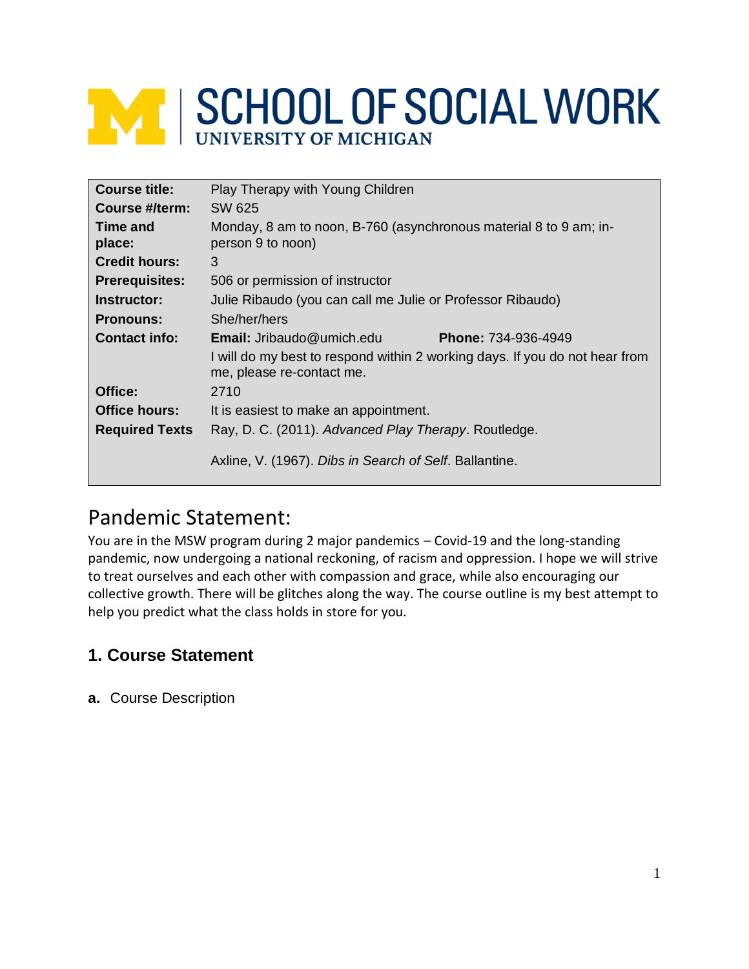# **MINISCHOOL OF SOCIAL WORK**

| <b>Course title:</b>  | Play Therapy with Young Children                                                                         |  |  |
|-----------------------|----------------------------------------------------------------------------------------------------------|--|--|
| Course #/term:        | SW 625                                                                                                   |  |  |
| Time and<br>place:    | Monday, 8 am to noon, B-760 (asynchronous material 8 to 9 am; in-<br>person 9 to noon)                   |  |  |
| <b>Credit hours:</b>  | 3                                                                                                        |  |  |
| <b>Prerequisites:</b> | 506 or permission of instructor                                                                          |  |  |
| Instructor:           | Julie Ribaudo (you can call me Julie or Professor Ribaudo)                                               |  |  |
| <b>Pronouns:</b>      | She/her/hers                                                                                             |  |  |
| <b>Contact info:</b>  | <b>Email:</b> Jribaudo@umich.edu<br><b>Phone: 734-936-4949</b>                                           |  |  |
|                       | I will do my best to respond within 2 working days. If you do not hear from<br>me, please re-contact me. |  |  |
| Office:               | 2710                                                                                                     |  |  |
| Office hours:         | It is easiest to make an appointment.                                                                    |  |  |
| <b>Required Texts</b> | Ray, D. C. (2011). Advanced Play Therapy. Routledge.                                                     |  |  |
|                       | Axline, V. (1967). Dibs in Search of Self. Ballantine.                                                   |  |  |

## Pandemic Statement:

You are in the MSW program during 2 major pandemics – Covid-19 and the long-standing pandemic, now undergoing a national reckoning, of racism and oppression. I hope we will strive to treat ourselves and each other with compassion and grace, while also encouraging our collective growth. There will be glitches along the way. The course outline is my best attempt to help you predict what the class holds in store for you.

## **1. Course Statement**

**a.** Course Description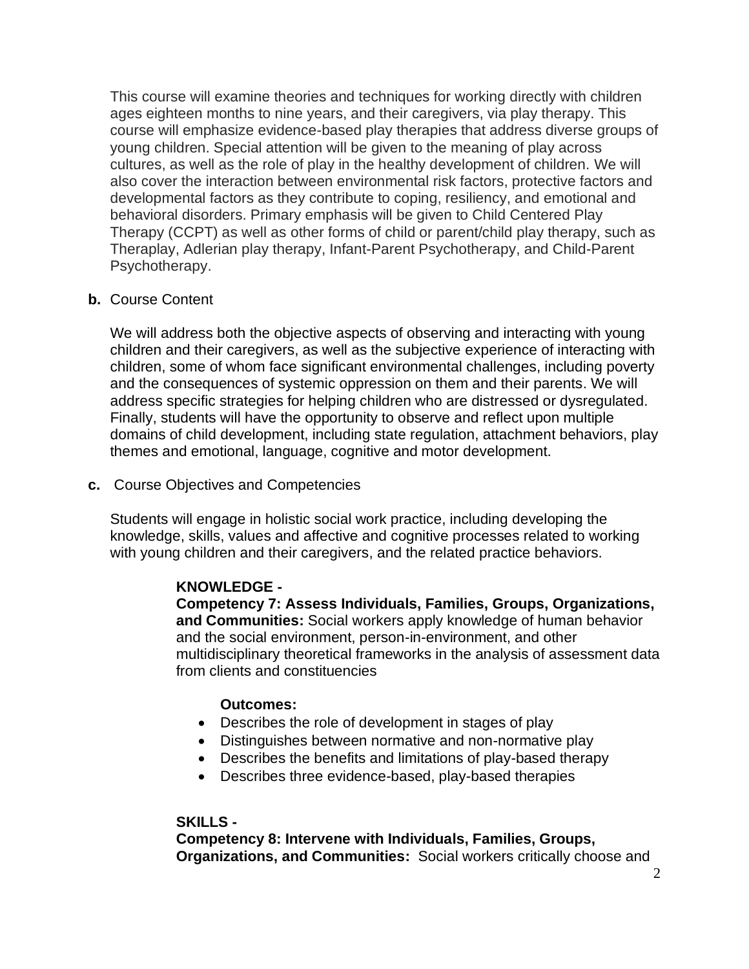This course will examine theories and techniques for working directly with children ages eighteen months to nine years, and their caregivers, via play therapy. This course will emphasize evidence-based play therapies that address diverse groups of young children. Special attention will be given to the meaning of play across cultures, as well as the role of play in the healthy development of children. We will also cover the interaction between environmental risk factors, protective factors and developmental factors as they contribute to coping, resiliency, and emotional and behavioral disorders. Primary emphasis will be given to Child Centered Play Therapy (CCPT) as well as other forms of child or parent/child play therapy, such as Theraplay, Adlerian play therapy, Infant-Parent Psychotherapy, and Child-Parent Psychotherapy.

#### **b.** Course Content

We will address both the objective aspects of observing and interacting with young children and their caregivers, as well as the subjective experience of interacting with children, some of whom face significant environmental challenges, including poverty and the consequences of systemic oppression on them and their parents. We will address specific strategies for helping children who are distressed or dysregulated. Finally, students will have the opportunity to observe and reflect upon multiple domains of child development, including state regulation, attachment behaviors, play themes and emotional, language, cognitive and motor development.

#### **c.** Course Objectives and Competencies

Students will engage in holistic social work practice, including developing the knowledge, skills, values and affective and cognitive processes related to working with young children and their caregivers, and the related practice behaviors.

#### **KNOWLEDGE -**

**Competency 7: Assess Individuals, Families, Groups, Organizations, and Communities:** Social workers apply knowledge of human behavior and the social environment, person-in-environment, and other multidisciplinary theoretical frameworks in the analysis of assessment data from clients and constituencies

#### **Outcomes:**

- Describes the role of development in stages of play
- Distinguishes between normative and non-normative play
- Describes the benefits and limitations of play-based therapy
- Describes three evidence-based, play-based therapies

#### **SKILLS -**

**Competency 8: Intervene with Individuals, Families, Groups, Organizations, and Communities:** Social workers critically choose and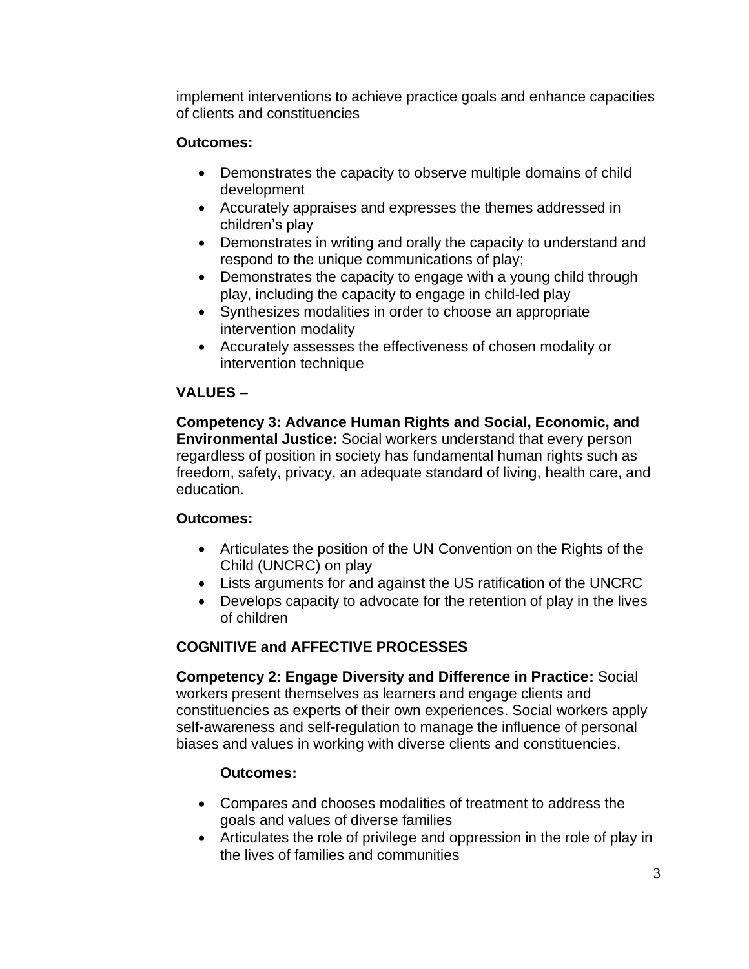implement interventions to achieve practice goals and enhance capacities of clients and constituencies

#### **Outcomes:**

- Demonstrates the capacity to observe multiple domains of child development
- Accurately appraises and expresses the themes addressed in children's play
- Demonstrates in writing and orally the capacity to understand and respond to the unique communications of play;
- Demonstrates the capacity to engage with a young child through play, including the capacity to engage in child-led play
- Synthesizes modalities in order to choose an appropriate intervention modality
- Accurately assesses the effectiveness of chosen modality or intervention technique

#### **VALUES –**

**Competency 3: Advance Human Rights and Social, Economic, and Environmental Justice:** Social workers understand that every person regardless of position in society has fundamental human rights such as freedom, safety, privacy, an adequate standard of living, health care, and education.

#### **Outcomes:**

- Articulates the position of the UN Convention on the Rights of the Child (UNCRC) on play
- Lists arguments for and against the US ratification of the UNCRC
- Develops capacity to advocate for the retention of play in the lives of children

#### **COGNITIVE and AFFECTIVE PROCESSES**

**Competency 2: Engage Diversity and Difference in Practice:** Social workers present themselves as learners and engage clients and constituencies as experts of their own experiences. Social workers apply self-awareness and self-regulation to manage the influence of personal biases and values in working with diverse clients and constituencies.

#### **Outcomes:**

- Compares and chooses modalities of treatment to address the goals and values of diverse families
- Articulates the role of privilege and oppression in the role of play in the lives of families and communities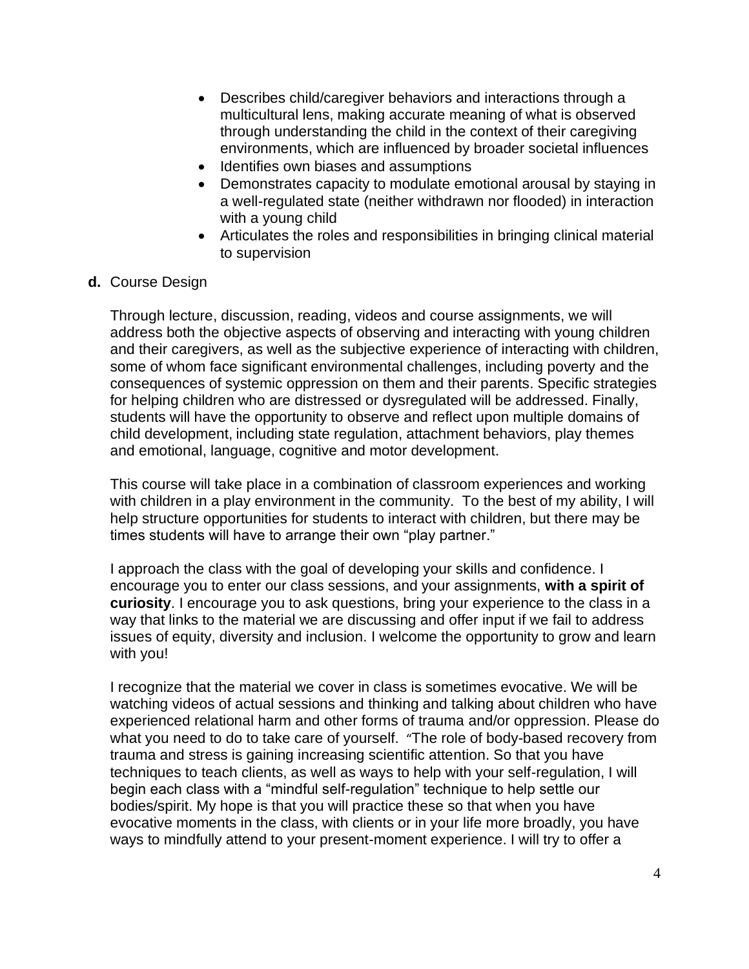- Describes child/caregiver behaviors and interactions through a multicultural lens, making accurate meaning of what is observed through understanding the child in the context of their caregiving environments, which are influenced by broader societal influences
- Identifies own biases and assumptions
- Demonstrates capacity to modulate emotional arousal by staying in a well-regulated state (neither withdrawn nor flooded) in interaction with a young child
- Articulates the roles and responsibilities in bringing clinical material to supervision

#### **d.** Course Design

Through lecture, discussion, reading, videos and course assignments, we will address both the objective aspects of observing and interacting with young children and their caregivers, as well as the subjective experience of interacting with children, some of whom face significant environmental challenges, including poverty and the consequences of systemic oppression on them and their parents. Specific strategies for helping children who are distressed or dysregulated will be addressed. Finally, students will have the opportunity to observe and reflect upon multiple domains of child development, including state regulation, attachment behaviors, play themes and emotional, language, cognitive and motor development.

This course will take place in a combination of classroom experiences and working with children in a play environment in the community. To the best of my ability, I will help structure opportunities for students to interact with children, but there may be times students will have to arrange their own "play partner."

I approach the class with the goal of developing your skills and confidence. I encourage you to enter our class sessions, and your assignments, **with a spirit of curiosity**. I encourage you to ask questions, bring your experience to the class in a way that links to the material we are discussing and offer input if we fail to address issues of equity, diversity and inclusion. I welcome the opportunity to grow and learn with you!

I recognize that the material we cover in class is sometimes evocative. We will be watching videos of actual sessions and thinking and talking about children who have experienced relational harm and other forms of trauma and/or oppression. Please do what you need to do to take care of yourself. "The role of body-based recovery from trauma and stress is gaining increasing scientific attention. So that you have techniques to teach clients, as well as ways to help with your self-regulation, I will begin each class with a "mindful self-regulation" technique to help settle our bodies/spirit. My hope is that you will practice these so that when you have evocative moments in the class, with clients or in your life more broadly, you have ways to mindfully attend to your present-moment experience. I will try to offer a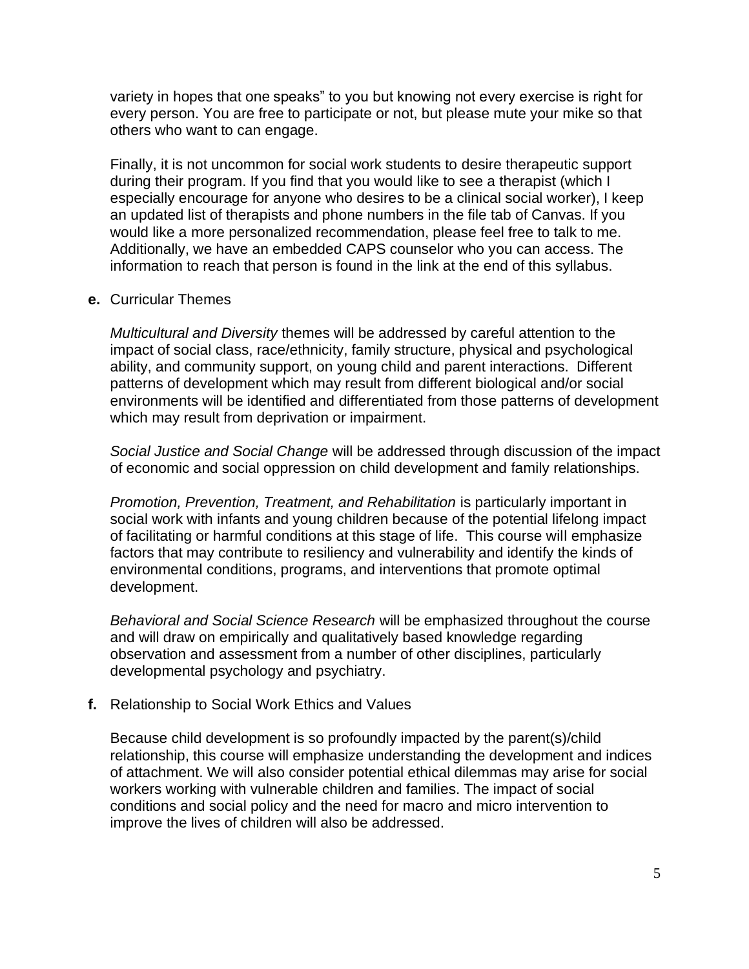variety in hopes that one speaks" to you but knowing not every exercise is right for every person. You are free to participate or not, but please mute your mike so that others who want to can engage.

Finally, it is not uncommon for social work students to desire therapeutic support during their program. If you find that you would like to see a therapist (which I especially encourage for anyone who desires to be a clinical social worker), I keep an updated list of therapists and phone numbers in the file tab of Canvas. If you would like a more personalized recommendation, please feel free to talk to me. Additionally, we have an embedded CAPS counselor who you can access. The information to reach that person is found in the link at the end of this syllabus.

#### **e.** Curricular Themes

*Multicultural and Diversity* themes will be addressed by careful attention to the impact of social class, race/ethnicity, family structure, physical and psychological ability, and community support, on young child and parent interactions. Different patterns of development which may result from different biological and/or social environments will be identified and differentiated from those patterns of development which may result from deprivation or impairment.

*Social Justice and Social Change* will be addressed through discussion of the impact of economic and social oppression on child development and family relationships.

*Promotion, Prevention, Treatment, and Rehabilitation* is particularly important in social work with infants and young children because of the potential lifelong impact of facilitating or harmful conditions at this stage of life. This course will emphasize factors that may contribute to resiliency and vulnerability and identify the kinds of environmental conditions, programs, and interventions that promote optimal development.

*Behavioral and Social Science Research* will be emphasized throughout the course and will draw on empirically and qualitatively based knowledge regarding observation and assessment from a number of other disciplines, particularly developmental psychology and psychiatry.

#### **f.** Relationship to Social Work Ethics and Values

Because child development is so profoundly impacted by the parent(s)/child relationship, this course will emphasize understanding the development and indices of attachment. We will also consider potential ethical dilemmas may arise for social workers working with vulnerable children and families. The impact of social conditions and social policy and the need for macro and micro intervention to improve the lives of children will also be addressed.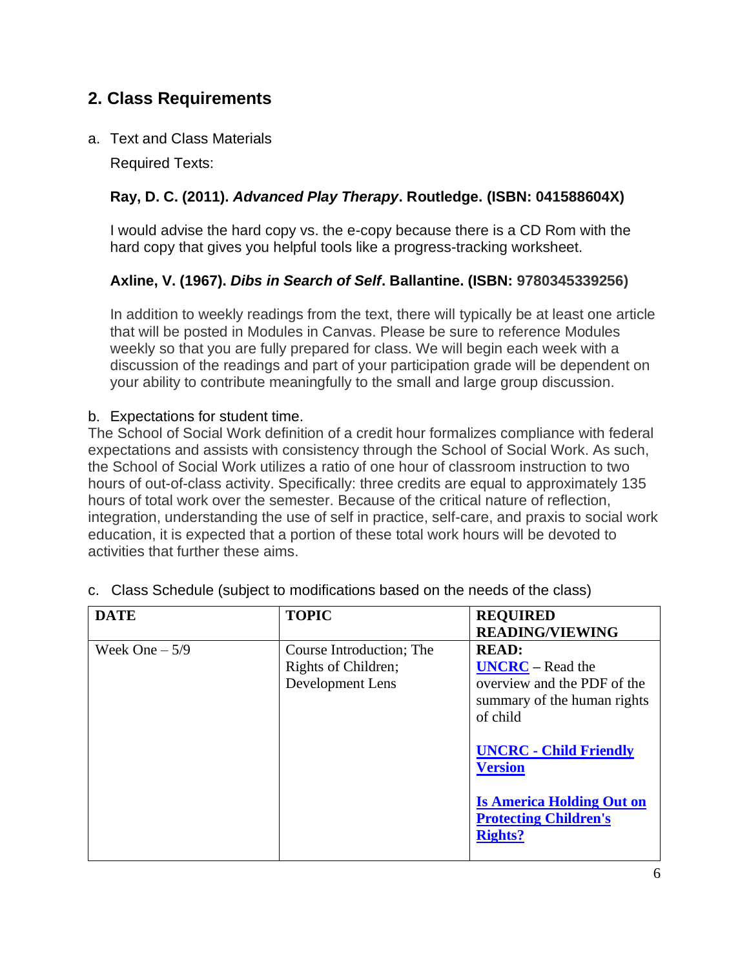### **2. Class Requirements**

a. Text and Class Materials

Required Texts:

#### **Ray, D. C. (2011).** *Advanced Play Therapy***. Routledge. (ISBN: 041588604X)**

I would advise the hard copy vs. the e-copy because there is a CD Rom with the hard copy that gives you helpful tools like a progress-tracking worksheet.

#### **Axline, V. (1967).** *Dibs in Search of Self***. Ballantine. (ISBN: 9780345339256)**

In addition to weekly readings from the text, there will typically be at least one article that will be posted in Modules in Canvas. Please be sure to reference Modules weekly so that you are fully prepared for class. We will begin each week with a discussion of the readings and part of your participation grade will be dependent on your ability to contribute meaningfully to the small and large group discussion.

#### b. Expectations for student time.

The School of Social Work definition of a credit hour formalizes compliance with federal expectations and assists with consistency through the School of Social Work. As such, the School of Social Work utilizes a ratio of one hour of classroom instruction to two hours of out-of-class activity. Specifically: three credits are equal to approximately 135 hours of total work over the semester. Because of the critical nature of reflection, integration, understanding the use of self in practice, self-care, and praxis to social work education, it is expected that a portion of these total work hours will be devoted to activities that further these aims.

| <b>DATE</b>     | <b>TOPIC</b>                                                        | <b>REQUIRED</b><br><b>READING/VIEWING</b>                                                                                                                                                                                                             |
|-----------------|---------------------------------------------------------------------|-------------------------------------------------------------------------------------------------------------------------------------------------------------------------------------------------------------------------------------------------------|
| Week One $-5/9$ | Course Introduction; The<br>Rights of Children;<br>Development Lens | <b>READ:</b><br>$UNERC - Read the$<br>overview and the PDF of the<br>summary of the human rights<br>of child<br><b>UNCRC - Child Friendly</b><br><b>Version</b><br><b>Is America Holding Out on</b><br><b>Protecting Children's</b><br><b>Rights?</b> |

|  | c. Class Schedule (subject to modifications based on the needs of the class) |  |  |  |  |  |
|--|------------------------------------------------------------------------------|--|--|--|--|--|
|--|------------------------------------------------------------------------------|--|--|--|--|--|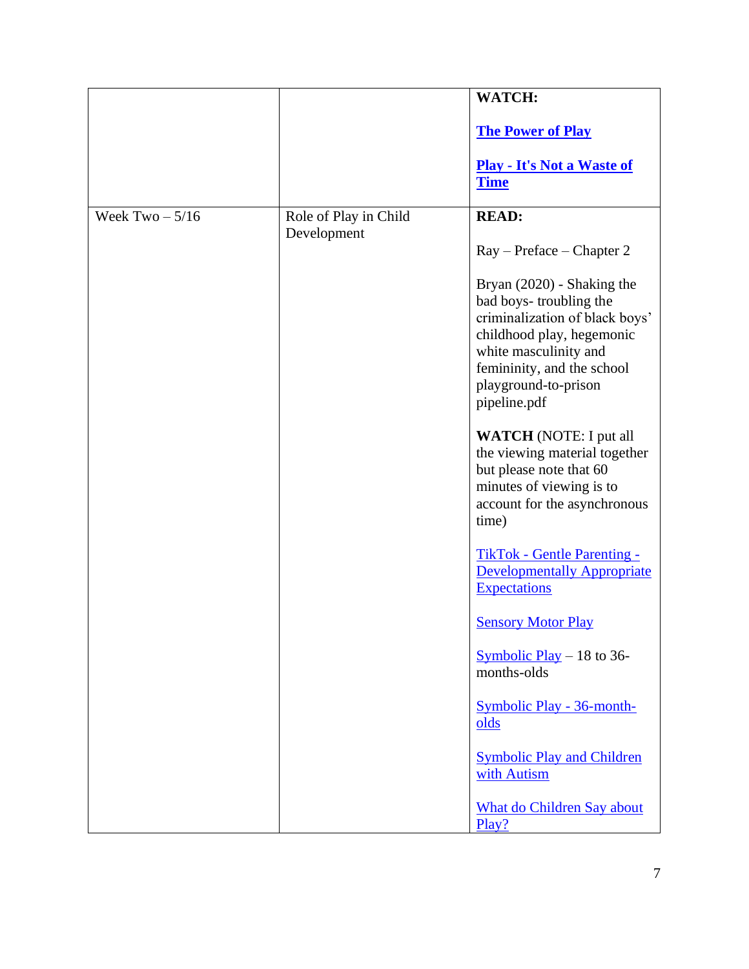|                   |                                      | WATCH:                                                                                                                                                                                                                                                                                                                                                                                                                                                                                                                               |
|-------------------|--------------------------------------|--------------------------------------------------------------------------------------------------------------------------------------------------------------------------------------------------------------------------------------------------------------------------------------------------------------------------------------------------------------------------------------------------------------------------------------------------------------------------------------------------------------------------------------|
|                   |                                      | <b>The Power of Play</b>                                                                                                                                                                                                                                                                                                                                                                                                                                                                                                             |
|                   |                                      | <b>Play - It's Not a Waste of</b><br><b>Time</b>                                                                                                                                                                                                                                                                                                                                                                                                                                                                                     |
| Week $Two - 5/16$ | Role of Play in Child<br>Development | <b>READ:</b><br>Ray – Preface – Chapter 2<br>Bryan (2020) - Shaking the<br>bad boys-troubling the<br>criminalization of black boys'<br>childhood play, hegemonic<br>white masculinity and<br>femininity, and the school<br>playground-to-prison<br>pipeline.pdf<br><b>WATCH</b> (NOTE: I put all<br>the viewing material together<br>but please note that 60<br>minutes of viewing is to<br>account for the asynchronous<br>time)<br><b>TikTok - Gentle Parenting -</b><br><b>Developmentally Appropriate</b><br><b>Expectations</b> |
|                   |                                      | <b>Sensory Motor Play</b><br>Symbolic Play $-18$ to 36-<br>months-olds                                                                                                                                                                                                                                                                                                                                                                                                                                                               |
|                   |                                      | <b>Symbolic Play - 36-month-</b><br>olds<br><b>Symbolic Play and Children</b><br>with Autism                                                                                                                                                                                                                                                                                                                                                                                                                                         |
|                   |                                      | <b>What do Children Say about</b><br>Play?                                                                                                                                                                                                                                                                                                                                                                                                                                                                                           |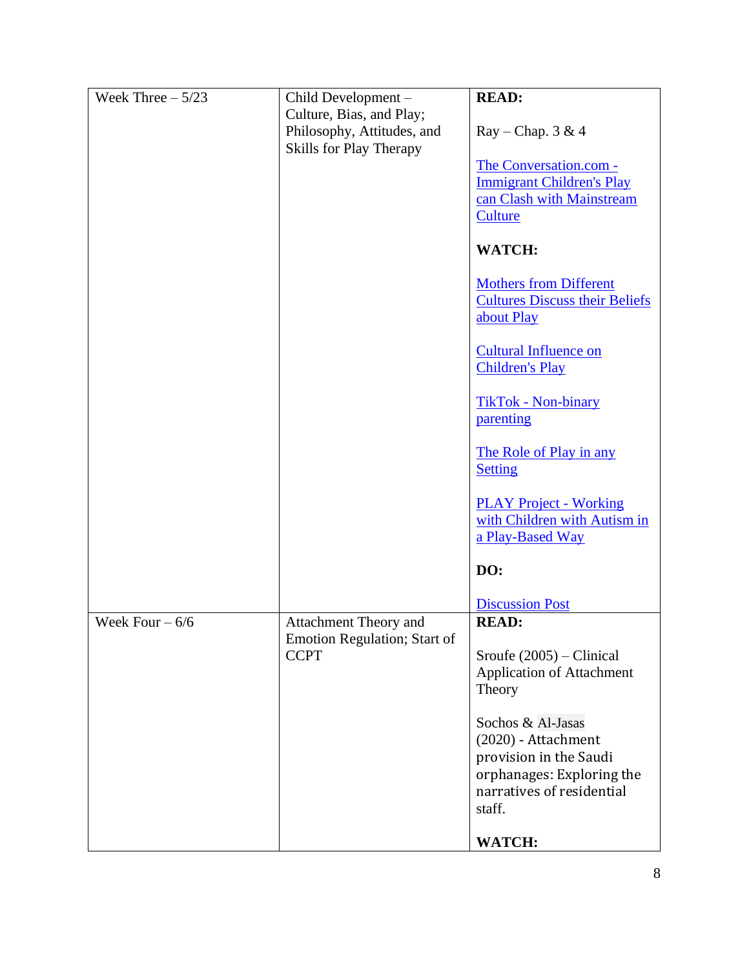| Week Three $-5/23$ | Child Development -                 | <b>READ:</b>                                                                      |
|--------------------|-------------------------------------|-----------------------------------------------------------------------------------|
|                    | Culture, Bias, and Play;            |                                                                                   |
|                    | Philosophy, Attitudes, and          | $Ray - Chap. 3 & 4$                                                               |
|                    | Skills for Play Therapy             |                                                                                   |
|                    |                                     | The Conversation.com -<br><b>Immigrant Children's Play</b>                        |
|                    |                                     | can Clash with Mainstream                                                         |
|                    |                                     | Culture                                                                           |
|                    |                                     |                                                                                   |
|                    |                                     | <b>WATCH:</b>                                                                     |
|                    |                                     | <b>Mothers from Different</b>                                                     |
|                    |                                     | <b>Cultures Discuss their Beliefs</b>                                             |
|                    |                                     | about Play                                                                        |
|                    |                                     |                                                                                   |
|                    |                                     | <b>Cultural Influence on</b><br><b>Children's Play</b>                            |
|                    |                                     | <b>TikTok - Non-binary</b>                                                        |
|                    |                                     | parenting                                                                         |
|                    |                                     | The Role of Play in any<br><b>Setting</b>                                         |
|                    |                                     | <b>PLAY Project - Working</b><br>with Children with Autism in<br>a Play-Based Way |
|                    |                                     | DO:                                                                               |
|                    |                                     | <b>Discussion Post</b>                                                            |
| Week Four $-6/6$   | Attachment Theory and               | <b>READ:</b>                                                                      |
|                    | <b>Emotion Regulation; Start of</b> |                                                                                   |
|                    | <b>CCPT</b>                         | Sroufe $(2005)$ – Clinical                                                        |
|                    |                                     | <b>Application of Attachment</b><br>Theory                                        |
|                    |                                     | Sochos & Al-Jasas                                                                 |
|                    |                                     | (2020) - Attachment                                                               |
|                    |                                     | provision in the Saudi                                                            |
|                    |                                     | orphanages: Exploring the                                                         |
|                    |                                     | narratives of residential                                                         |
|                    |                                     | staff.                                                                            |
|                    |                                     | <b>WATCH:</b>                                                                     |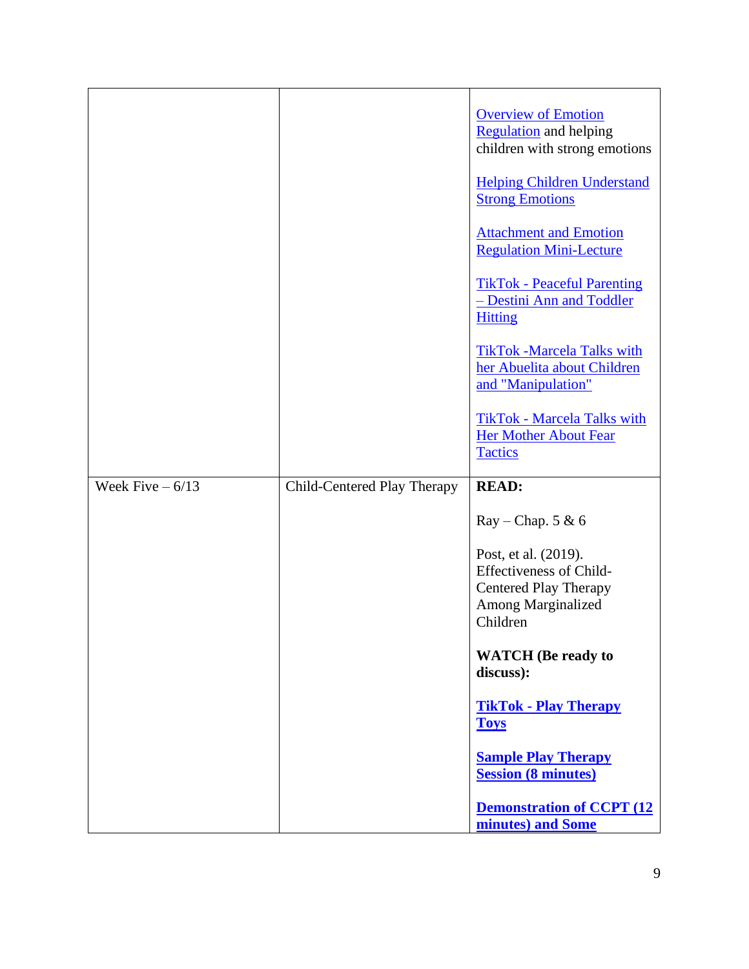|                   |                             | <b>Overview of Emotion</b><br><b>Regulation</b> and helping<br>children with strong emotions<br><b>Helping Children Understand</b><br><b>Strong Emotions</b> |
|-------------------|-----------------------------|--------------------------------------------------------------------------------------------------------------------------------------------------------------|
|                   |                             | <b>Attachment and Emotion</b><br><b>Regulation Mini-Lecture</b>                                                                                              |
|                   |                             | <b>TikTok - Peaceful Parenting</b><br>- Destini Ann and Toddler<br><b>Hitting</b>                                                                            |
|                   |                             | <b>TikTok -Marcela Talks with</b><br>her Abuelita about Children<br>and "Manipulation"                                                                       |
|                   |                             | <b>TikTok - Marcela Talks with</b><br><b>Her Mother About Fear</b><br><b>Tactics</b>                                                                         |
| Week Five $-6/13$ | Child-Centered Play Therapy | <b>READ:</b>                                                                                                                                                 |
|                   |                             | $Ray - Chap. 5 & 6$                                                                                                                                          |
|                   |                             | Post, et al. (2019).<br><b>Effectiveness of Child-</b><br><b>Centered Play Therapy</b><br>Among Marginalized<br>Children                                     |
|                   |                             | <b>WATCH</b> (Be ready to<br>discuss):                                                                                                                       |
|                   |                             | <b>TikTok - Play Therapy</b><br><b>Toys</b>                                                                                                                  |
|                   |                             | <b>Sample Play Therapy</b><br><b>Session (8 minutes)</b>                                                                                                     |
|                   |                             | <b>Demonstration of CCPT (12)</b><br>minutes) and Some                                                                                                       |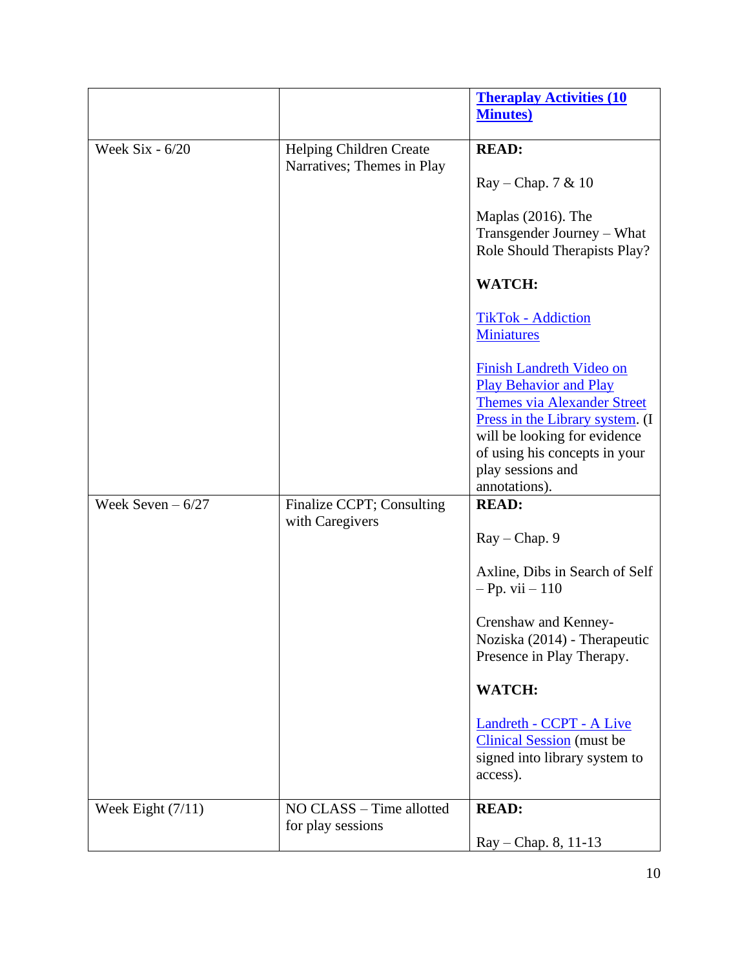|                     |                            | <b>Theraplay Activities (10)</b>                                                                                                                                                                                                                 |
|---------------------|----------------------------|--------------------------------------------------------------------------------------------------------------------------------------------------------------------------------------------------------------------------------------------------|
|                     |                            | <b>Minutes</b> )                                                                                                                                                                                                                                 |
|                     |                            |                                                                                                                                                                                                                                                  |
| Week Six - 6/20     | Helping Children Create    | <b>READ:</b>                                                                                                                                                                                                                                     |
|                     | Narratives; Themes in Play | $Ray - Chap. 7 & 10$                                                                                                                                                                                                                             |
|                     |                            | Maplas (2016). The<br>Transgender Journey – What<br>Role Should Therapists Play?                                                                                                                                                                 |
|                     |                            | <b>WATCH:</b>                                                                                                                                                                                                                                    |
|                     |                            | <b>TikTok - Addiction</b><br><b>Miniatures</b>                                                                                                                                                                                                   |
|                     |                            | <b>Finish Landreth Video on</b><br><b>Play Behavior and Play</b><br><b>Themes via Alexander Street</b><br>Press in the Library system. (I<br>will be looking for evidence<br>of using his concepts in your<br>play sessions and<br>annotations). |
| Week Seven $-6/27$  | Finalize CCPT; Consulting  | <b>READ:</b>                                                                                                                                                                                                                                     |
|                     | with Caregivers            |                                                                                                                                                                                                                                                  |
|                     |                            | $Ray - Chap. 9$                                                                                                                                                                                                                                  |
|                     |                            | Axline, Dibs in Search of Self<br>$-Pp. vii - 110$                                                                                                                                                                                               |
|                     |                            | Crenshaw and Kenney-<br>Noziska (2014) - Therapeutic<br>Presence in Play Therapy.                                                                                                                                                                |
|                     |                            | <b>WATCH:</b>                                                                                                                                                                                                                                    |
|                     |                            | Landreth - CCPT - A Live<br><b>Clinical Session</b> (must be<br>signed into library system to<br>access).                                                                                                                                        |
| Week Eight $(7/11)$ | NO CLASS - Time allotted   | <b>READ:</b>                                                                                                                                                                                                                                     |
|                     | for play sessions          |                                                                                                                                                                                                                                                  |
|                     |                            | Ray - Chap. 8, 11-13                                                                                                                                                                                                                             |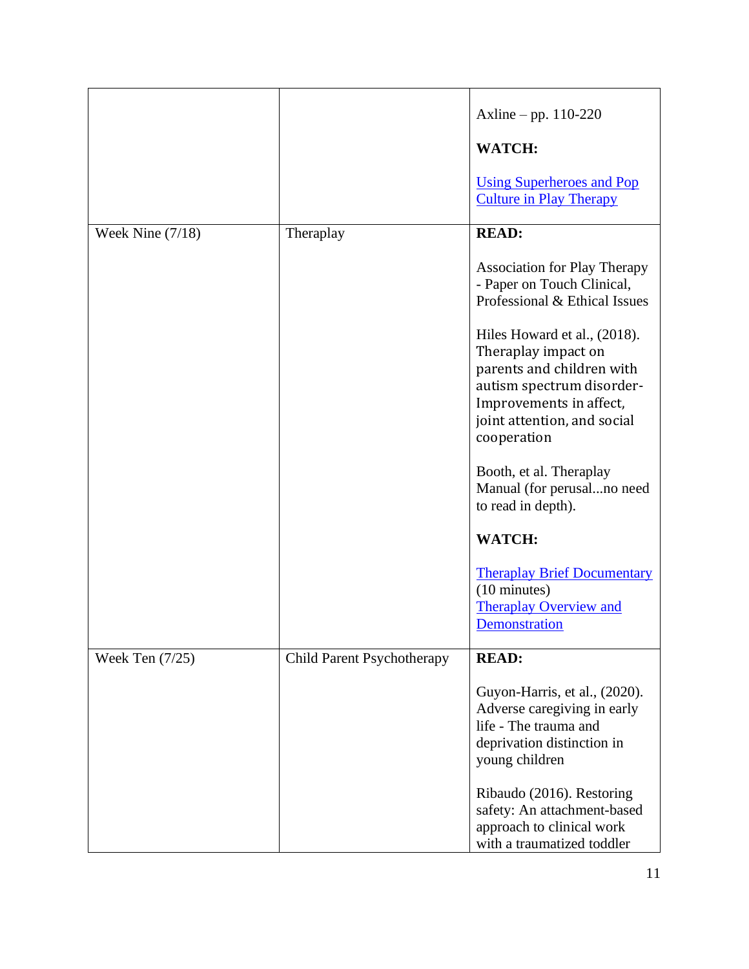|                    |                                   | Axline – pp. $110-220$                                                                                                                                                                 |
|--------------------|-----------------------------------|----------------------------------------------------------------------------------------------------------------------------------------------------------------------------------------|
|                    |                                   | <b>WATCH:</b>                                                                                                                                                                          |
|                    |                                   | <b>Using Superheroes and Pop</b><br><b>Culture in Play Therapy</b>                                                                                                                     |
| Week Nine $(7/18)$ | Theraplay                         | <b>READ:</b>                                                                                                                                                                           |
|                    |                                   | <b>Association for Play Therapy</b><br>- Paper on Touch Clinical,<br>Professional & Ethical Issues                                                                                     |
|                    |                                   | Hiles Howard et al., (2018).<br>Theraplay impact on<br>parents and children with<br>autism spectrum disorder-<br>Improvements in affect,<br>joint attention, and social<br>cooperation |
|                    |                                   | Booth, et al. Theraplay<br>Manual (for perusalno need<br>to read in depth).                                                                                                            |
|                    |                                   | <b>WATCH:</b>                                                                                                                                                                          |
|                    |                                   | <b>Theraplay Brief Documentary</b><br>$(10 \text{ minutes})$<br><b>Theraplay Overview and</b><br>Demonstration                                                                         |
| Week Ten $(7/25)$  | <b>Child Parent Psychotherapy</b> | <b>READ:</b>                                                                                                                                                                           |
|                    |                                   | Guyon-Harris, et al., (2020).<br>Adverse caregiving in early<br>life - The trauma and<br>deprivation distinction in<br>young children                                                  |
|                    |                                   | Ribaudo (2016). Restoring<br>safety: An attachment-based<br>approach to clinical work<br>with a traumatized toddler                                                                    |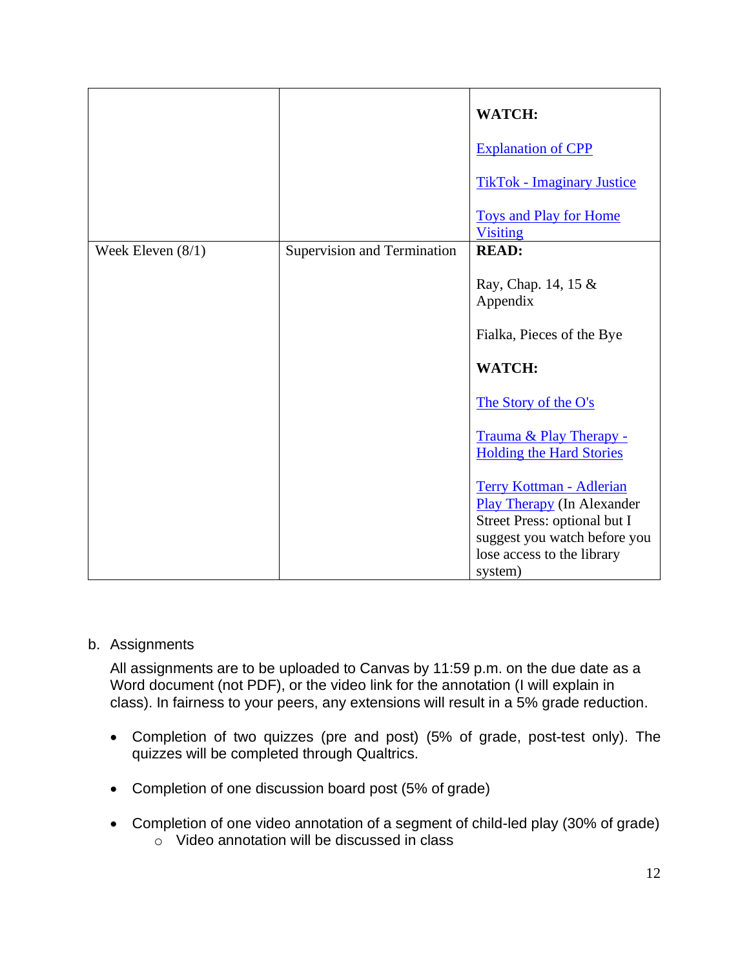|                     |                             | WATCH:                                                               |
|---------------------|-----------------------------|----------------------------------------------------------------------|
|                     |                             | <b>Explanation of CPP</b>                                            |
|                     |                             | <b>TikTok - Imaginary Justice</b>                                    |
|                     |                             | <b>Toys and Play for Home</b><br><b>Visiting</b>                     |
| Week Eleven $(8/1)$ | Supervision and Termination | <b>READ:</b>                                                         |
|                     |                             | Ray, Chap. 14, 15 &<br>Appendix                                      |
|                     |                             | Fialka, Pieces of the Bye                                            |
|                     |                             | <b>WATCH:</b>                                                        |
|                     |                             | The Story of the O's                                                 |
|                     |                             | Trauma & Play Therapy -<br><b>Holding the Hard Stories</b>           |
|                     |                             | <b>Terry Kottman - Adlerian</b><br><b>Play Therapy</b> (In Alexander |
|                     |                             | Street Press: optional but I                                         |
|                     |                             | suggest you watch before you<br>lose access to the library           |
|                     |                             | system)                                                              |

#### b. Assignments

All assignments are to be uploaded to Canvas by 11:59 p.m. on the due date as a Word document (not PDF), or the video link for the annotation (I will explain in class). In fairness to your peers, any extensions will result in a 5% grade reduction.

- Completion of two quizzes (pre and post) (5% of grade, post-test only). The quizzes will be completed through Qualtrics.
- Completion of one discussion board post (5% of grade)
- Completion of one video annotation of a segment of child-led play (30% of grade) o Video annotation will be discussed in class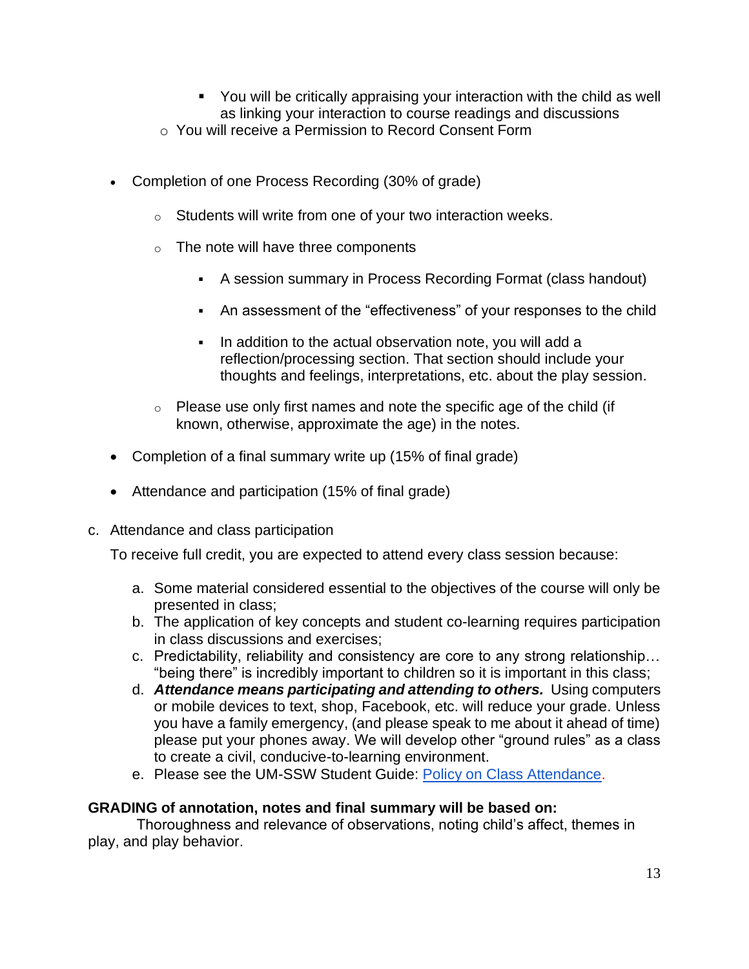- You will be critically appraising your interaction with the child as well as linking your interaction to course readings and discussions
- o You will receive a Permission to Record Consent Form
- Completion of one Process Recording (30% of grade)
	- o Students will write from one of your two interaction weeks.
	- $\circ$  The note will have three components
		- A session summary in Process Recording Format (class handout)
		- An assessment of the "effectiveness" of your responses to the child
		- In addition to the actual observation note, you will add a reflection/processing section. That section should include your thoughts and feelings, interpretations, etc. about the play session.
	- $\circ$  Please use only first names and note the specific age of the child (if known, otherwise, approximate the age) in the notes.
- Completion of a final summary write up (15% of final grade)
- Attendance and participation (15% of final grade)
- c. Attendance and class participation

To receive full credit, you are expected to attend every class session because:

- a. Some material considered essential to the objectives of the course will only be presented in class;
- b. The application of key concepts and student co-learning requires participation in class discussions and exercises;
- c. Predictability, reliability and consistency are core to any strong relationship… "being there" is incredibly important to children so it is important in this class;
- d. *Attendance means participating and attending to others.* Using computers or mobile devices to text, shop, Facebook, etc. will reduce your grade. Unless you have a family emergency, (and please speak to me about it ahead of time) please put your phones away. We will develop other "ground rules" as a class to create a civil, conducive-to-learning environment.
- e. Please see the UM-SSW Student Guide: [Policy on Class Attendance.](https://ssw.umich.edu/msw-student-guide/section/1.09.00/17/policy-on-class-attendance)

#### **GRADING of annotation, notes and final summary will be based on:**

Thoroughness and relevance of observations, noting child's affect, themes in play, and play behavior.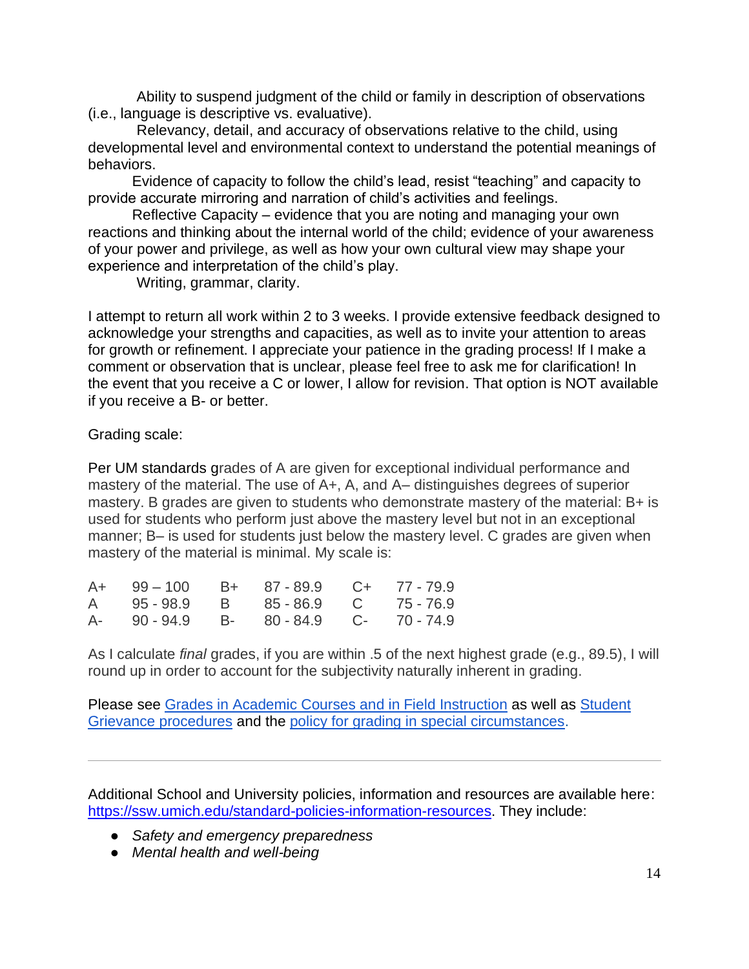Ability to suspend judgment of the child or family in description of observations (i.e., language is descriptive vs. evaluative).

 Relevancy, detail, and accuracy of observations relative to the child, using developmental level and environmental context to understand the potential meanings of behaviors.

Evidence of capacity to follow the child's lead, resist "teaching" and capacity to provide accurate mirroring and narration of child's activities and feelings.

Reflective Capacity – evidence that you are noting and managing your own reactions and thinking about the internal world of the child; evidence of your awareness of your power and privilege, as well as how your own cultural view may shape your experience and interpretation of the child's play.

Writing, grammar, clarity.

I attempt to return all work within 2 to 3 weeks. I provide extensive feedback designed to acknowledge your strengths and capacities, as well as to invite your attention to areas for growth or refinement. I appreciate your patience in the grading process! If I make a comment or observation that is unclear, please feel free to ask me for clarification! In the event that you receive a C or lower, I allow for revision. That option is NOT available if you receive a B- or better.

Grading scale:

Per UM standards grades of A are given for exceptional individual performance and mastery of the material. The use of A+, A, and A– distinguishes degrees of superior mastery. B grades are given to students who demonstrate mastery of the material: B+ is used for students who perform just above the mastery level but not in an exceptional manner; B– is used for students just below the mastery level. C grades are given when mastery of the material is minimal. My scale is:

| A+ 99 - 100 B+ 87 - 89.9 C+ 77 - 79.9  |  |  |
|----------------------------------------|--|--|
| A 95-98.9 B 85-86.9 C 75-76.9          |  |  |
| A- 90 - 94.9 B- 80 - 84.9 C- 70 - 74.9 |  |  |

As I calculate *final* grades, if you are within .5 of the next highest grade (e.g., 89.5), I will round up in order to account for the subjectivity naturally inherent in grading.

Please see [Grades in Academic Courses and in Field Instruction](http://ssw.umich.edu/msw-student-guide/chapter/1.08/grades-in-academic-courses-and-in-field-instruction) as well as Student [Grievance procedures](http://ssw.umich.edu/msw-student-guide/chapter/1.18/student-grievances) and the [policy for grading in special circumstances.](https://ssw.umich.edu/msw-student-guide/section/1.08.01/15/grades-for-special-circumstances)

Additional School and University policies, information and resources are available here: [https://ssw.umich.edu/standard-policies-information-resources.](https://ssw.umich.edu/standard-policies-information-resources) They include:

- *Safety and emergency preparedness*
- *Mental health and well-being*